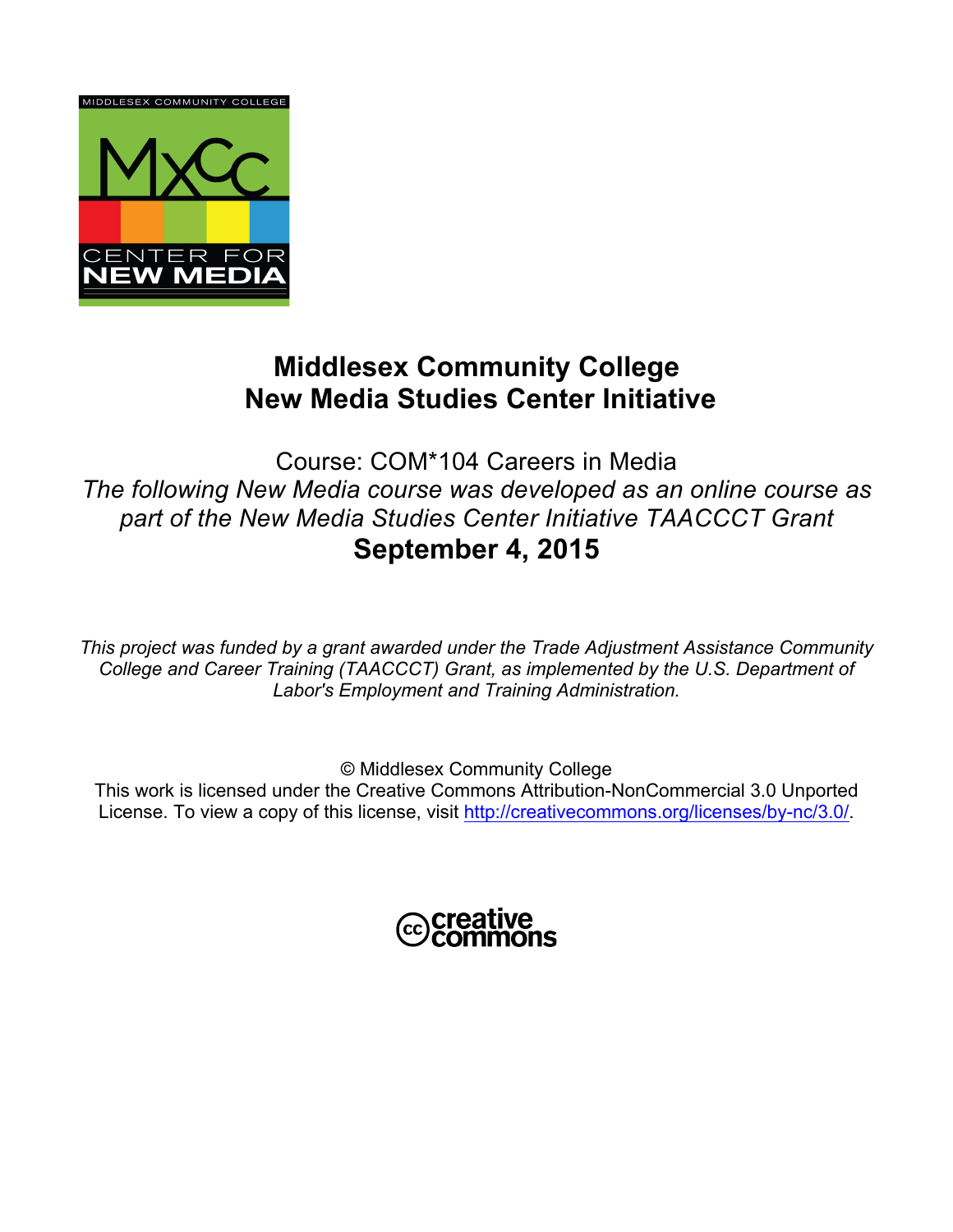

# **Middlesex Community College New Media Studies Center Initiative**

Course: COM\*104 Careers in Media *The following New Media course was developed as an online course as part of the New Media Studies Center Initiative TAACCCT Grant*  **September 4, 2015**

*This project was funded by a grant awarded under the Trade Adjustment Assistance Community College and Career Training (TAACCCT) Grant, as implemented by the U.S. Department of Labor's Employment and Training Administration.*

© Middlesex Community College

This work is licensed under the Creative Commons Attribution-NonCommercial 3.0 Unported License. To view a copy of this license, visit http://creativecommons.org/licenses/by-nc/3.0/.

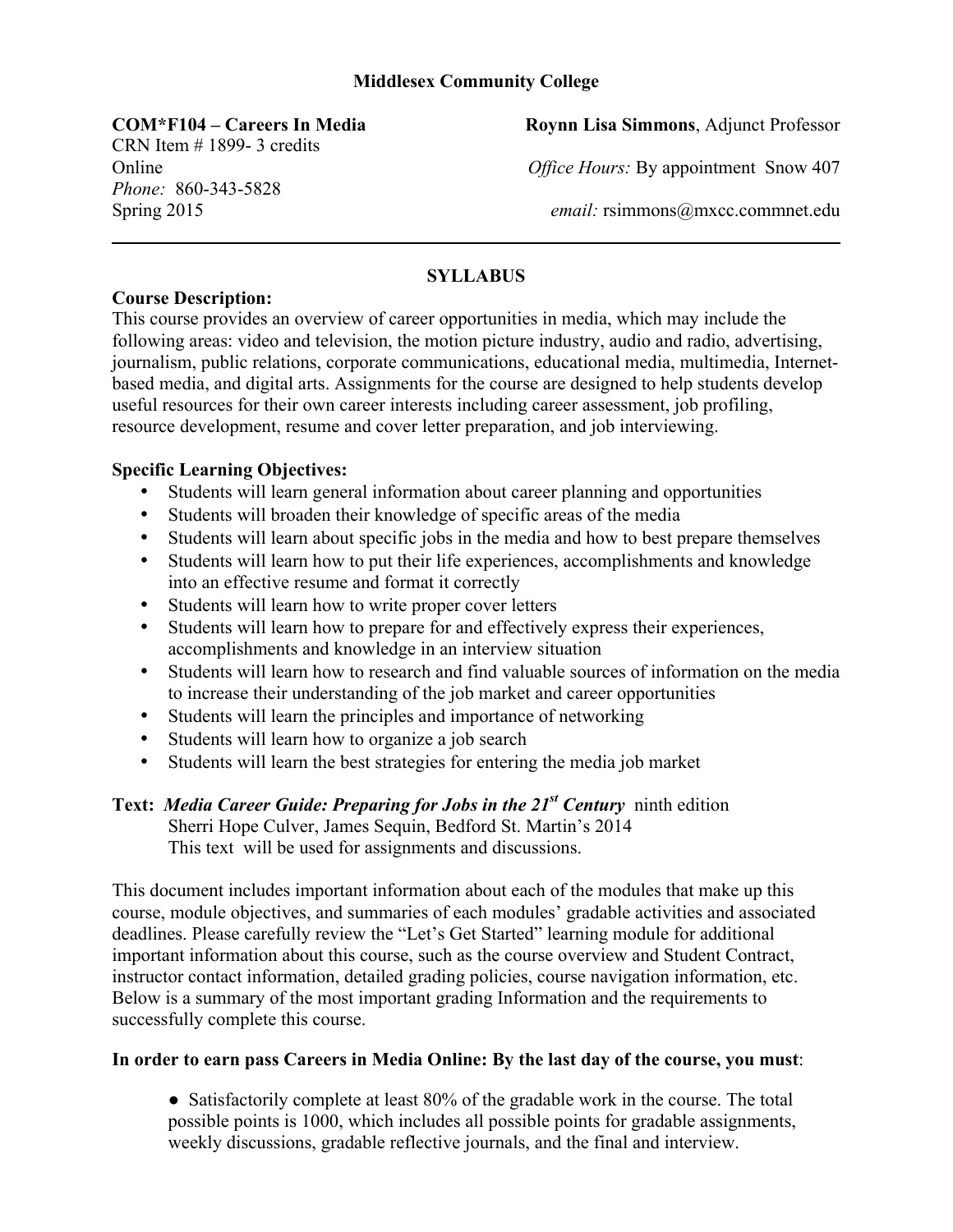## **Middlesex Community College**

CRN Item # 1899- 3 credits *Phone:* 860-343-5828

**COM\*F104 – Careers In Media Roynn Lisa Simmons**, Adjunct Professor

Online *Office Hours:* By appointment Snow 407

Spring 2015 *email:* rsimmons@mxcc.commnet.edu

# **SYLLABUS**

## **Course Description:**

This course provides an overview of career opportunities in media, which may include the following areas: video and television, the motion picture industry, audio and radio, advertising, journalism, public relations, corporate communications, educational media, multimedia, Internetbased media, and digital arts. Assignments for the course are designed to help students develop useful resources for their own career interests including career assessment, job profiling, resource development, resume and cover letter preparation, and job interviewing.

# **Specific Learning Objectives:**

- Students will learn general information about career planning and opportunities
- Students will broaden their knowledge of specific areas of the media
- Students will learn about specific jobs in the media and how to best prepare themselves
- Students will learn how to put their life experiences, accomplishments and knowledge into an effective resume and format it correctly
- Students will learn how to write proper cover letters
- Students will learn how to prepare for and effectively express their experiences, accomplishments and knowledge in an interview situation
- Students will learn how to research and find valuable sources of information on the media to increase their understanding of the job market and career opportunities
- Students will learn the principles and importance of networking
- Students will learn how to organize a job search
- Students will learn the best strategies for entering the media job market

**Text:** *Media Career Guide: Preparing for Jobs in the 21st Century*ninth edition Sherri Hope Culver, James Sequin, Bedford St. Martin's 2014 This text will be used for assignments and discussions.

This document includes important information about each of the modules that make up this course, module objectives, and summaries of each modules' gradable activities and associated deadlines. Please carefully review the "Let's Get Started" learning module for additional important information about this course, such as the course overview and Student Contract, instructor contact information, detailed grading policies, course navigation information, etc. Below is a summary of the most important grading Information and the requirements to successfully complete this course.

## **In order to earn pass Careers in Media Online: By the last day of the course, you must**:

• Satisfactorily complete at least 80% of the gradable work in the course. The total possible points is 1000, which includes all possible points for gradable assignments, weekly discussions, gradable reflective journals, and the final and interview.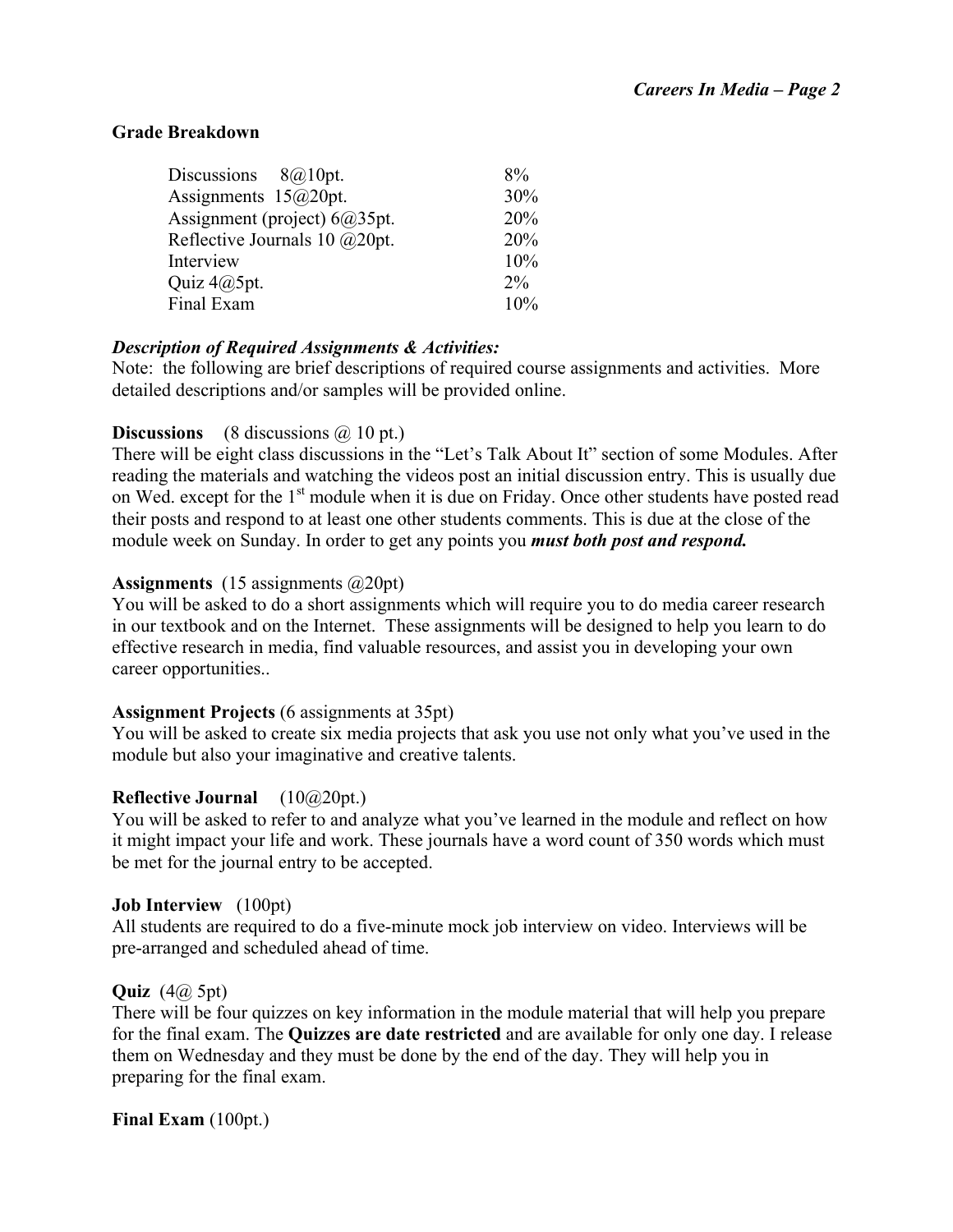## **Grade Breakdown**

| Discussions $8@10pt$ .           | 8%    |
|----------------------------------|-------|
| Assignments $15@20pt$ .          | 30%   |
| Assignment (project) $6a/35pt$ . | 20%   |
| Reflective Journals 10 @20pt.    | 20%   |
| Interview                        | 10%   |
| Quiz $4@5pt$ .                   | $2\%$ |
| Final Exam                       | 10%   |
|                                  |       |

## *Description of Required Assignments & Activities:*

Note: the following are brief descriptions of required course assignments and activities. More detailed descriptions and/or samples will be provided online.

## **Discussions** (8 discussions  $\widehat{a}$  10 pt.)

There will be eight class discussions in the "Let's Talk About It" section of some Modules. After reading the materials and watching the videos post an initial discussion entry. This is usually due on Wed. except for the 1<sup>st</sup> module when it is due on Friday. Once other students have posted read their posts and respond to at least one other students comments. This is due at the close of the module week on Sunday. In order to get any points you *must both post and respond.* 

# **Assignments** (15 assignments @20pt)

You will be asked to do a short assignments which will require you to do media career research in our textbook and on the Internet. These assignments will be designed to help you learn to do effective research in media, find valuable resources, and assist you in developing your own career opportunities..

## **Assignment Projects** (6 assignments at 35pt)

You will be asked to create six media projects that ask you use not only what you've used in the module but also your imaginative and creative talents.

# **Reflective Journal** (10@20pt.)

You will be asked to refer to and analyze what you've learned in the module and reflect on how it might impact your life and work. These journals have a word count of 350 words which must be met for the journal entry to be accepted.

## **Job Interview** (100pt)

All students are required to do a five-minute mock job interview on video. Interviews will be pre-arranged and scheduled ahead of time.

## **Quiz** (4@ 5pt)

There will be four quizzes on key information in the module material that will help you prepare for the final exam. The **Quizzes are date restricted** and are available for only one day. I release them on Wednesday and they must be done by the end of the day. They will help you in preparing for the final exam.

**Final Exam** (100pt.)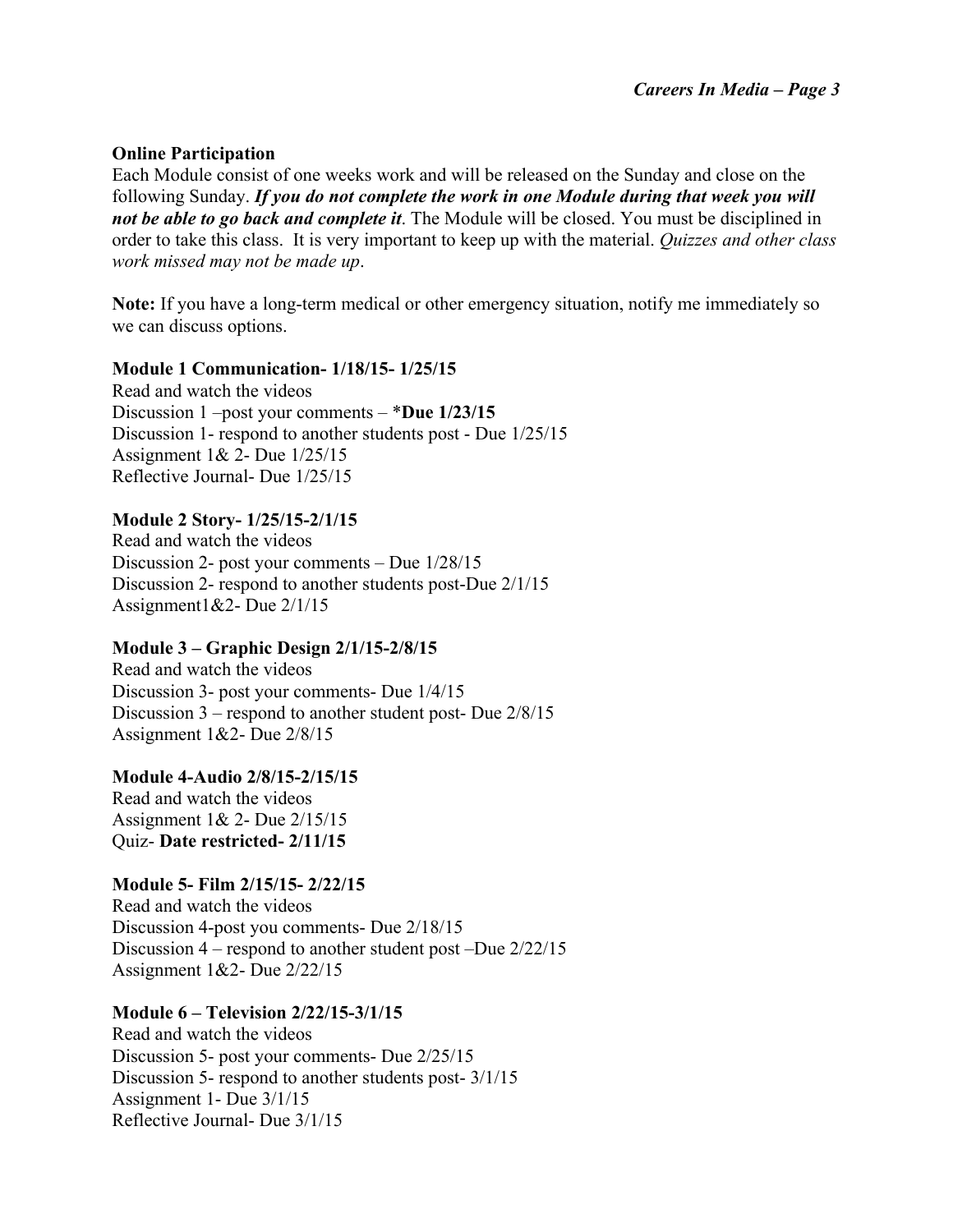## **Online Participation**

Each Module consist of one weeks work and will be released on the Sunday and close on the following Sunday. *If you do not complete the work in one Module during that week you will not be able to go back and complete it*. The Module will be closed. You must be disciplined in order to take this class. It is very important to keep up with the material. *Quizzes and other class work missed may not be made up*.

**Note:** If you have a long-term medical or other emergency situation, notify me immediately so we can discuss options.

## **Module 1 Communication- 1/18/15- 1/25/15**

Read and watch the videos Discussion 1 –post your comments – \***Due 1/23/15** Discussion 1- respond to another students post - Due 1/25/15 Assignment 1& 2- Due 1/25/15 Reflective Journal- Due 1/25/15

## **Module 2 Story- 1/25/15-2/1/15**

Read and watch the videos Discussion 2- post your comments – Due 1/28/15 Discussion 2- respond to another students post-Due 2/1/15 Assignment1&2- Due 2/1/15

## **Module 3 – Graphic Design 2/1/15-2/8/15**

Read and watch the videos Discussion 3- post your comments- Due 1/4/15 Discussion 3 – respond to another student post- Due 2/8/15 Assignment 1&2- Due 2/8/15

## **Module 4-Audio 2/8/15-2/15/15**

Read and watch the videos Assignment 1& 2- Due 2/15/15 Quiz- **Date restricted- 2/11/15**

## **Module 5- Film 2/15/15- 2/22/15**

Read and watch the videos Discussion 4-post you comments- Due 2/18/15 Discussion 4 – respond to another student post –Due 2/22/15 Assignment 1&2- Due 2/22/15

## **Module 6 – Television 2/22/15-3/1/15**

Read and watch the videos Discussion 5- post your comments- Due 2/25/15 Discussion 5- respond to another students post- 3/1/15 Assignment 1- Due 3/1/15 Reflective Journal- Due 3/1/15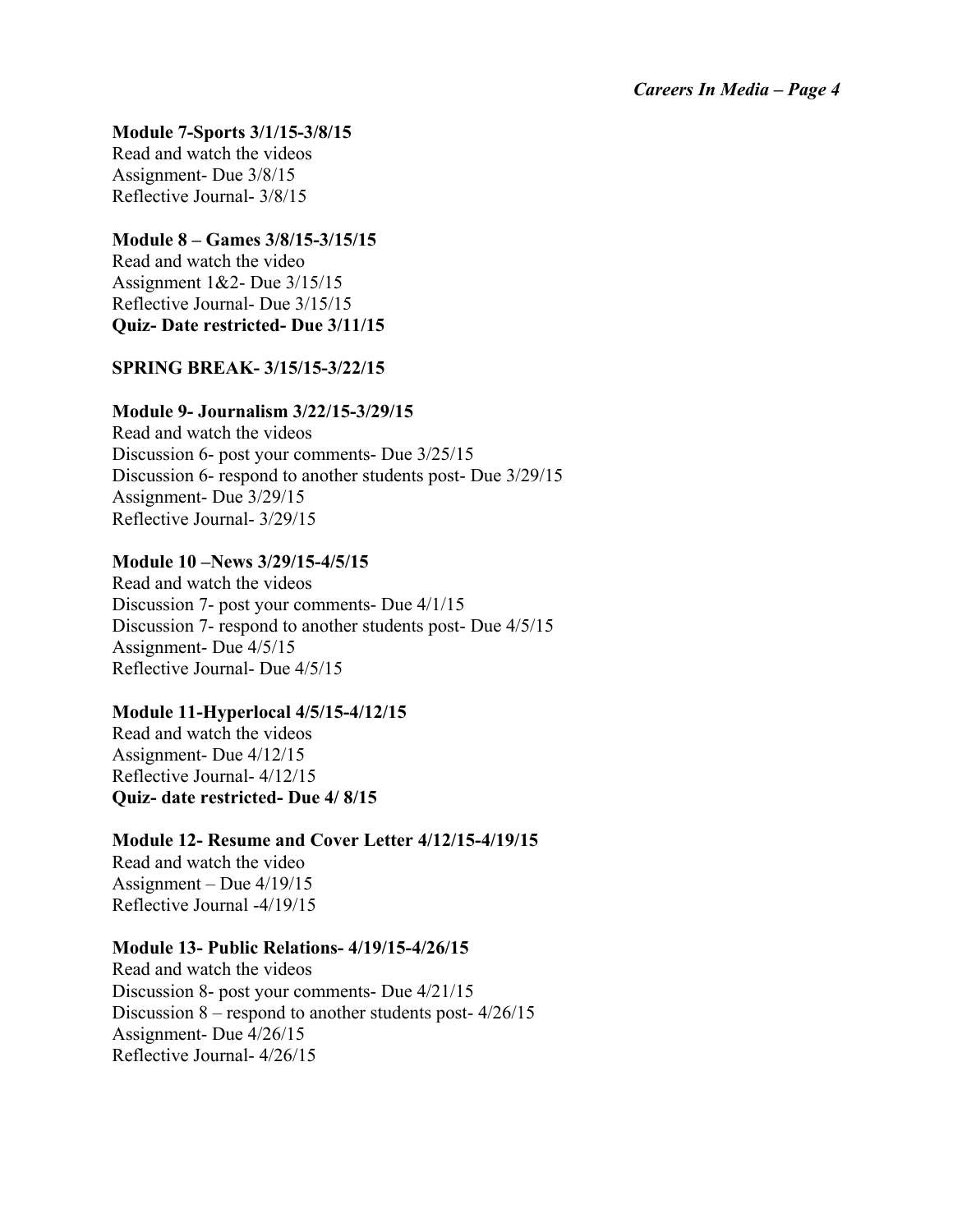#### **Module 7-Sports 3/1/15-3/8/15**

Read and watch the videos Assignment- Due 3/8/15 Reflective Journal- 3/8/15

## **Module 8 – Games 3/8/15-3/15/15**

Read and watch the video Assignment 1&2- Due 3/15/15 Reflective Journal- Due 3/15/15 **Quiz- Date restricted- Due 3/11/15**

## **SPRING BREAK- 3/15/15-3/22/15**

#### **Module 9- Journalism 3/22/15-3/29/15**

Read and watch the videos Discussion 6- post your comments- Due 3/25/15 Discussion 6- respond to another students post- Due 3/29/15 Assignment- Due 3/29/15 Reflective Journal- 3/29/15

#### **Module 10 –News 3/29/15-4/5/15**

Read and watch the videos Discussion 7- post your comments- Due 4/1/15 Discussion 7- respond to another students post- Due 4/5/15 Assignment- Due 4/5/15 Reflective Journal- Due 4/5/15

#### **Module 11-Hyperlocal 4/5/15-4/12/15**

Read and watch the videos Assignment- Due 4/12/15 Reflective Journal- 4/12/15 **Quiz- date restricted- Due 4/ 8/15**

## **Module 12- Resume and Cover Letter 4/12/15-4/19/15**

Read and watch the video Assignment – Due 4/19/15 Reflective Journal -4/19/15

#### **Module 13- Public Relations- 4/19/15-4/26/15**

Read and watch the videos Discussion 8- post your comments- Due 4/21/15 Discussion 8 – respond to another students post- 4/26/15 Assignment- Due 4/26/15 Reflective Journal- 4/26/15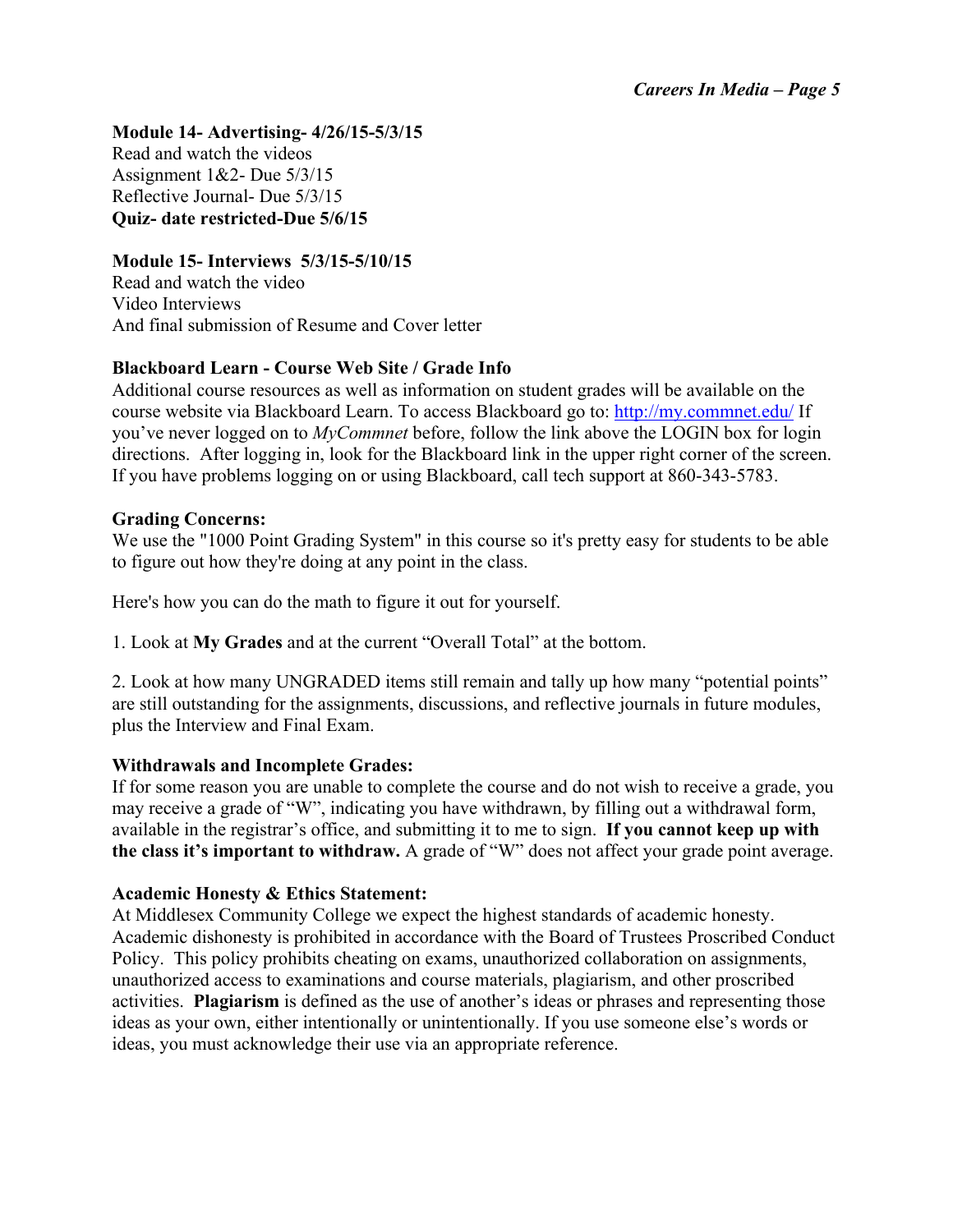# **Module 14- Advertising- 4/26/15-5/3/15**

Read and watch the videos Assignment 1&2- Due 5/3/15 Reflective Journal- Due 5/3/15 **Quiz- date restricted-Due 5/6/15**

## **Module 15- Interviews 5/3/15-5/10/15**

Read and watch the video Video Interviews And final submission of Resume and Cover letter

# **Blackboard Learn - Course Web Site / Grade Info**

Additional course resources as well as information on student grades will be available on the course website via Blackboard Learn. To access Blackboard go to: http://my.commnet.edu/ If you've never logged on to *MyCommnet* before, follow the link above the LOGIN box for login directions. After logging in, look for the Blackboard link in the upper right corner of the screen. If you have problems logging on or using Blackboard, call tech support at 860-343-5783.

## **Grading Concerns:**

We use the "1000 Point Grading System" in this course so it's pretty easy for students to be able to figure out how they're doing at any point in the class.

Here's how you can do the math to figure it out for yourself.

1. Look at **My Grades** and at the current "Overall Total" at the bottom.

2. Look at how many UNGRADED items still remain and tally up how many "potential points" are still outstanding for the assignments, discussions, and reflective journals in future modules, plus the Interview and Final Exam.

## **Withdrawals and Incomplete Grades:**

If for some reason you are unable to complete the course and do not wish to receive a grade, you may receive a grade of "W", indicating you have withdrawn, by filling out a withdrawal form, available in the registrar's office, and submitting it to me to sign. **If you cannot keep up with the class it's important to withdraw.** A grade of "W" does not affect your grade point average.

## **Academic Honesty & Ethics Statement:**

At Middlesex Community College we expect the highest standards of academic honesty. Academic dishonesty is prohibited in accordance with the Board of Trustees Proscribed Conduct Policy. This policy prohibits cheating on exams, unauthorized collaboration on assignments, unauthorized access to examinations and course materials, plagiarism, and other proscribed activities. **Plagiarism** is defined as the use of another's ideas or phrases and representing those ideas as your own, either intentionally or unintentionally. If you use someone else's words or ideas, you must acknowledge their use via an appropriate reference.